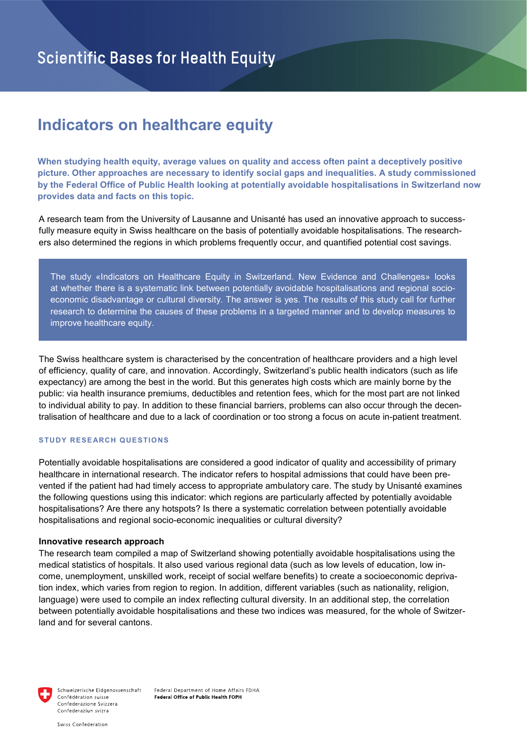# **Indicators on healthcare equity**

**When studying health equity, average values on quality and access often paint a deceptively positive picture. Other approaches are necessary to identify social gaps and inequalities. A study commissioned by the Federal Office of Public Health looking at potentially avoidable hospitalisations in Switzerland now provides data and facts on this topic.**

A research team from the University of Lausanne and Unisanté has used an innovative approach to successfully measure equity in Swiss healthcare on the basis of potentially avoidable hospitalisations. The researchers also determined the regions in which problems frequently occur, and quantified potential cost savings.

The study «Indicators on Healthcare Equity in Switzerland. New Evidence and Challenges» looks at whether there is a systematic link between potentially avoidable hospitalisations and regional socioeconomic disadvantage or cultural diversity. The answer is yes. The results of this study call for further research to determine the causes of these problems in a targeted manner and to develop measures to improve healthcare equity.

The Swiss healthcare system is characterised by the concentration of healthcare providers and a high level of efficiency, quality of care, and innovation. Accordingly, Switzerland's public health indicators (such as life expectancy) are among the best in the world. But this generates high costs which are mainly borne by the public: via health insurance premiums, deductibles and retention fees, which for the most part are not linked to individual ability to pay. In addition to these financial barriers, problems can also occur through the decentralisation of healthcare and due to a lack of coordination or too strong a focus on acute in-patient treatment.

## **STUDY RESEARCH QUESTIONS**

Potentially avoidable hospitalisations are considered a good indicator of quality and accessibility of primary healthcare in international research. The indicator refers to hospital admissions that could have been prevented if the patient had had timely access to appropriate ambulatory care. The study by Unisanté examines the following questions using this indicator: which regions are particularly affected by potentially avoidable hospitalisations? Are there any hotspots? Is there a systematic correlation between potentially avoidable hospitalisations and regional socio-economic inequalities or cultural diversity?

## **Innovative research approach**

The research team compiled a map of Switzerland showing potentially avoidable hospitalisations using the medical statistics of hospitals. It also used various regional data (such as low levels of education, low income, unemployment, unskilled work, receipt of social welfare benefits) to create a socioeconomic deprivation index, which varies from region to region. In addition, different variables (such as nationality, religion, language) were used to compile an index reflecting cultural diversity. In an additional step, the correlation between potentially avoidable hospitalisations and these two indices was measured, for the whole of Switzerland and for several cantons.



Schweizerische Eidgenossenschaft Confédération suisse Confederazione Svizzera Confederaziun svizra

Federal Department of Home Affairs FDHA Federal Office of Public Health FOPH